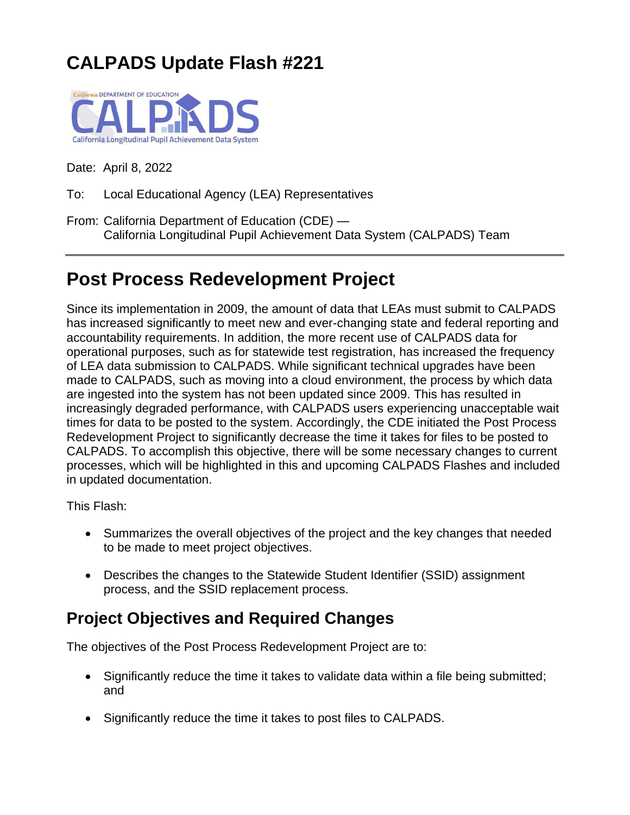# **CALPADS Update Flash #221**



Date: April 8, 2022

To: Local Educational Agency (LEA) Representatives

From: California Department of Education (CDE) — California Longitudinal Pupil Achievement Data System (CALPADS) Team

## **Post Process Redevelopment Project**

Since its implementation in 2009, the amount of data that LEAs must submit to CALPADS has increased significantly to meet new and ever-changing state and federal reporting and accountability requirements. In addition, the more recent use of CALPADS data for operational purposes, such as for statewide test registration, has increased the frequency of LEA data submission to CALPADS. While significant technical upgrades have been made to CALPADS, such as moving into a cloud environment, the process by which data are ingested into the system has not been updated since 2009. This has resulted in increasingly degraded performance, with CALPADS users experiencing unacceptable wait times for data to be posted to the system. Accordingly, the CDE initiated the Post Process Redevelopment Project to significantly decrease the time it takes for files to be posted to CALPADS. To accomplish this objective, there will be some necessary changes to current processes, which will be highlighted in this and upcoming CALPADS Flashes and included in updated documentation.

This Flash:

- Summarizes the overall objectives of the project and the key changes that needed to be made to meet project objectives.
- Describes the changes to the Statewide Student Identifier (SSID) assignment process, and the SSID replacement process.

## **Project Objectives and Required Changes**

The objectives of the Post Process Redevelopment Project are to:

- Significantly reduce the time it takes to validate data within a file being submitted; and
- Significantly reduce the time it takes to post files to CALPADS.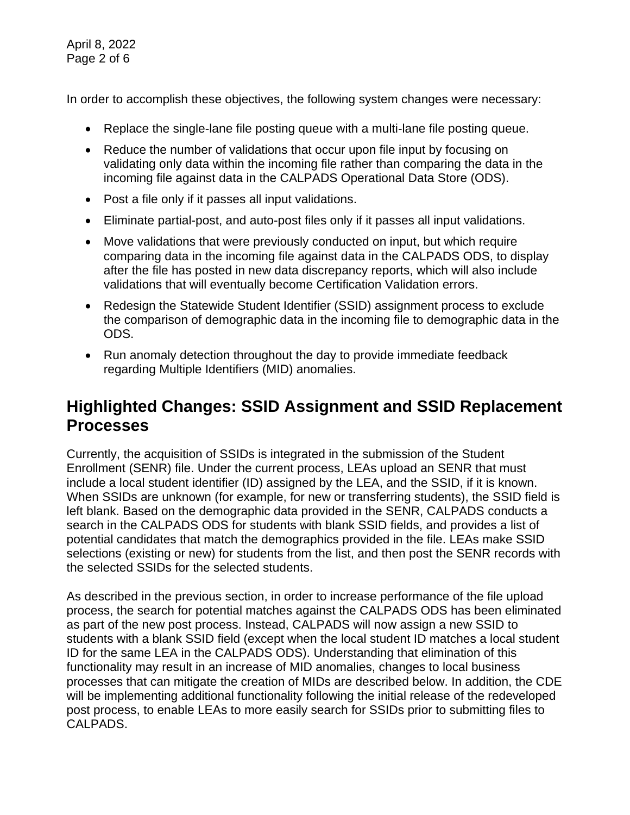April 8, 2022 Page 2 of 6

In order to accomplish these objectives, the following system changes were necessary:

- Replace the single-lane file posting queue with a multi-lane file posting queue.
- Reduce the number of validations that occur upon file input by focusing on validating only data within the incoming file rather than comparing the data in the incoming file against data in the CALPADS Operational Data Store (ODS).
- Post a file only if it passes all input validations.
- Eliminate partial-post, and auto-post files only if it passes all input validations.
- Move validations that were previously conducted on input, but which require comparing data in the incoming file against data in the CALPADS ODS, to display after the file has posted in new data discrepancy reports, which will also include validations that will eventually become Certification Validation errors.
- Redesign the Statewide Student Identifier (SSID) assignment process to exclude the comparison of demographic data in the incoming file to demographic data in the ODS.
- Run anomaly detection throughout the day to provide immediate feedback regarding Multiple Identifiers (MID) anomalies.

## **Highlighted Changes: SSID Assignment and SSID Replacement Processes**

Currently, the acquisition of SSIDs is integrated in the submission of the Student Enrollment (SENR) file. Under the current process, LEAs upload an SENR that must include a local student identifier (ID) assigned by the LEA, and the SSID, if it is known. When SSIDs are unknown (for example, for new or transferring students), the SSID field is left blank. Based on the demographic data provided in the SENR, CALPADS conducts a search in the CALPADS ODS for students with blank SSID fields, and provides a list of potential candidates that match the demographics provided in the file. LEAs make SSID selections (existing or new) for students from the list, and then post the SENR records with the selected SSIDs for the selected students.

As described in the previous section, in order to increase performance of the file upload process, the search for potential matches against the CALPADS ODS has been eliminated as part of the new post process. Instead, CALPADS will now assign a new SSID to students with a blank SSID field (except when the local student ID matches a local student ID for the same LEA in the CALPADS ODS). Understanding that elimination of this functionality may result in an increase of MID anomalies, changes to local business processes that can mitigate the creation of MIDs are described below. In addition, the CDE will be implementing additional functionality following the initial release of the redeveloped post process, to enable LEAs to more easily search for SSIDs prior to submitting files to CALPADS.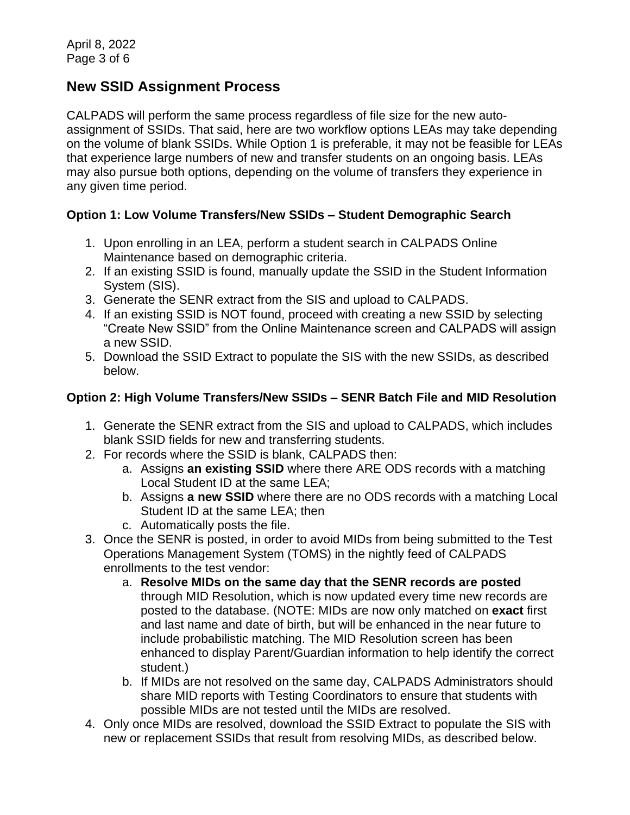### **New SSID Assignment Process**

CALPADS will perform the same process regardless of file size for the new autoassignment of SSIDs. That said, here are two workflow options LEAs may take depending on the volume of blank SSIDs. While Option 1 is preferable, it may not be feasible for LEAs that experience large numbers of new and transfer students on an ongoing basis. LEAs may also pursue both options, depending on the volume of transfers they experience in any given time period.

#### **Option 1: Low Volume Transfers/New SSIDs – Student Demographic Search**

- 1. Upon enrolling in an LEA, perform a student search in CALPADS Online Maintenance based on demographic criteria.
- 2. If an existing SSID is found, manually update the SSID in the Student Information System (SIS).
- 3. Generate the SENR extract from the SIS and upload to CALPADS.
- 4. If an existing SSID is NOT found, proceed with creating a new SSID by selecting "Create New SSID" from the Online Maintenance screen and CALPADS will assign a new SSID.
- 5. Download the SSID Extract to populate the SIS with the new SSIDs, as described below.

#### **Option 2: High Volume Transfers/New SSIDs – SENR Batch File and MID Resolution**

- 1. Generate the SENR extract from the SIS and upload to CALPADS, which includes blank SSID fields for new and transferring students.
- 2. For records where the SSID is blank, CALPADS then:
	- a. Assigns **an existing SSID** where there ARE ODS records with a matching Local Student ID at the same LEA;
	- b. Assigns **a new SSID** where there are no ODS records with a matching Local Student ID at the same LEA; then
	- c. Automatically posts the file.
- 3. Once the SENR is posted, in order to avoid MIDs from being submitted to the Test Operations Management System (TOMS) in the nightly feed of CALPADS enrollments to the test vendor:
	- a. **Resolve MIDs on the same day that the SENR records are posted** through MID Resolution, which is now updated every time new records are posted to the database. (NOTE: MIDs are now only matched on **exact** first and last name and date of birth, but will be enhanced in the near future to include probabilistic matching. The MID Resolution screen has been enhanced to display Parent/Guardian information to help identify the correct student.)
	- b. If MIDs are not resolved on the same day, CALPADS Administrators should share MID reports with Testing Coordinators to ensure that students with possible MIDs are not tested until the MIDs are resolved.
- 4. Only once MIDs are resolved, download the SSID Extract to populate the SIS with new or replacement SSIDs that result from resolving MIDs, as described below.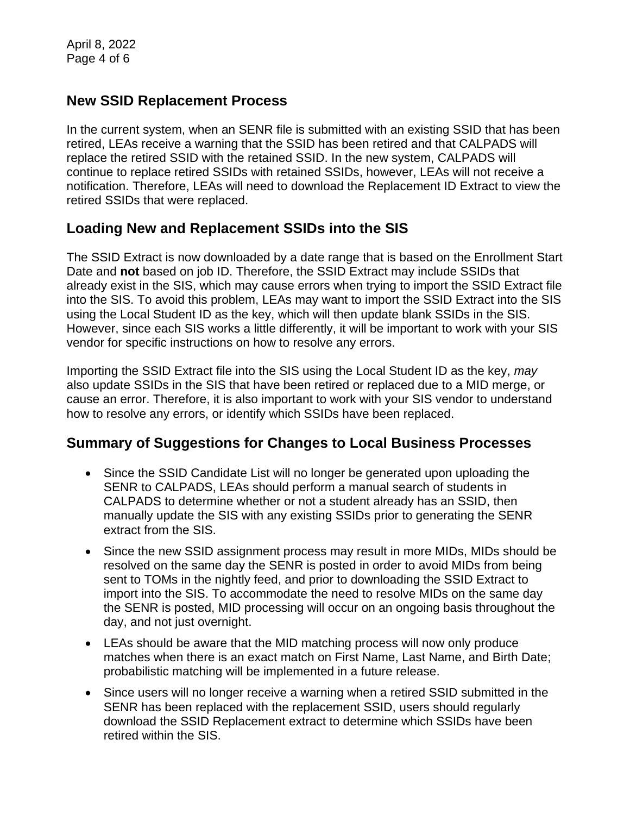## **New SSID Replacement Process**

In the current system, when an SENR file is submitted with an existing SSID that has been retired, LEAs receive a warning that the SSID has been retired and that CALPADS will replace the retired SSID with the retained SSID. In the new system, CALPADS will continue to replace retired SSIDs with retained SSIDs, however, LEAs will not receive a notification. Therefore, LEAs will need to download the Replacement ID Extract to view the retired SSIDs that were replaced.

## **Loading New and Replacement SSIDs into the SIS**

The SSID Extract is now downloaded by a date range that is based on the Enrollment Start Date and **not** based on job ID. Therefore, the SSID Extract may include SSIDs that already exist in the SIS, which may cause errors when trying to import the SSID Extract file into the SIS. To avoid this problem, LEAs may want to import the SSID Extract into the SIS using the Local Student ID as the key, which will then update blank SSIDs in the SIS. However, since each SIS works a little differently, it will be important to work with your SIS vendor for specific instructions on how to resolve any errors.

Importing the SSID Extract file into the SIS using the Local Student ID as the key, *may* also update SSIDs in the SIS that have been retired or replaced due to a MID merge, or cause an error. Therefore, it is also important to work with your SIS vendor to understand how to resolve any errors, or identify which SSIDs have been replaced.

### **Summary of Suggestions for Changes to Local Business Processes**

- Since the SSID Candidate List will no longer be generated upon uploading the SENR to CALPADS, LEAs should perform a manual search of students in CALPADS to determine whether or not a student already has an SSID, then manually update the SIS with any existing SSIDs prior to generating the SENR extract from the SIS.
- Since the new SSID assignment process may result in more MIDs, MIDs should be resolved on the same day the SENR is posted in order to avoid MIDs from being sent to TOMs in the nightly feed, and prior to downloading the SSID Extract to import into the SIS. To accommodate the need to resolve MIDs on the same day the SENR is posted, MID processing will occur on an ongoing basis throughout the day, and not just overnight.
- LEAs should be aware that the MID matching process will now only produce matches when there is an exact match on First Name, Last Name, and Birth Date; probabilistic matching will be implemented in a future release.
- Since users will no longer receive a warning when a retired SSID submitted in the SENR has been replaced with the replacement SSID, users should regularly download the SSID Replacement extract to determine which SSIDs have been retired within the SIS.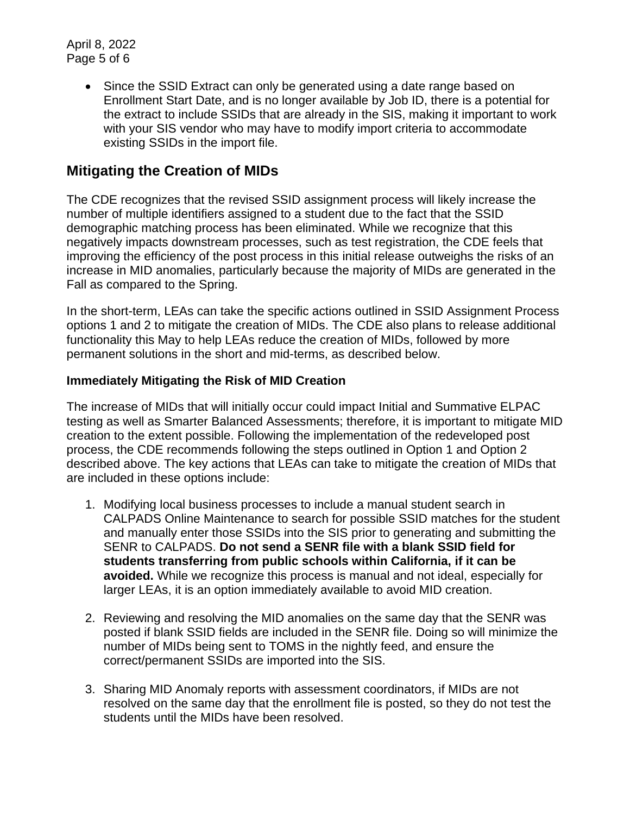April 8, 2022 Page 5 of 6

> • Since the SSID Extract can only be generated using a date range based on Enrollment Start Date, and is no longer available by Job ID, there is a potential for the extract to include SSIDs that are already in the SIS, making it important to work with your SIS vendor who may have to modify import criteria to accommodate existing SSIDs in the import file.

### **Mitigating the Creation of MIDs**

The CDE recognizes that the revised SSID assignment process will likely increase the number of multiple identifiers assigned to a student due to the fact that the SSID demographic matching process has been eliminated. While we recognize that this negatively impacts downstream processes, such as test registration, the CDE feels that improving the efficiency of the post process in this initial release outweighs the risks of an increase in MID anomalies, particularly because the majority of MIDs are generated in the Fall as compared to the Spring.

In the short-term, LEAs can take the specific actions outlined in SSID Assignment Process options 1 and 2 to mitigate the creation of MIDs. The CDE also plans to release additional functionality this May to help LEAs reduce the creation of MIDs, followed by more permanent solutions in the short and mid-terms, as described below.

#### **Immediately Mitigating the Risk of MID Creation**

The increase of MIDs that will initially occur could impact Initial and Summative ELPAC testing as well as Smarter Balanced Assessments; therefore, it is important to mitigate MID creation to the extent possible. Following the implementation of the redeveloped post process, the CDE recommends following the steps outlined in Option 1 and Option 2 described above. The key actions that LEAs can take to mitigate the creation of MIDs that are included in these options include:

- 1. Modifying local business processes to include a manual student search in CALPADS Online Maintenance to search for possible SSID matches for the student and manually enter those SSIDs into the SIS prior to generating and submitting the SENR to CALPADS. **Do not send a SENR file with a blank SSID field for students transferring from public schools within California, if it can be avoided.** While we recognize this process is manual and not ideal, especially for larger LEAs, it is an option immediately available to avoid MID creation.
- 2. Reviewing and resolving the MID anomalies on the same day that the SENR was posted if blank SSID fields are included in the SENR file. Doing so will minimize the number of MIDs being sent to TOMS in the nightly feed, and ensure the correct/permanent SSIDs are imported into the SIS.
- 3. Sharing MID Anomaly reports with assessment coordinators, if MIDs are not resolved on the same day that the enrollment file is posted, so they do not test the students until the MIDs have been resolved.